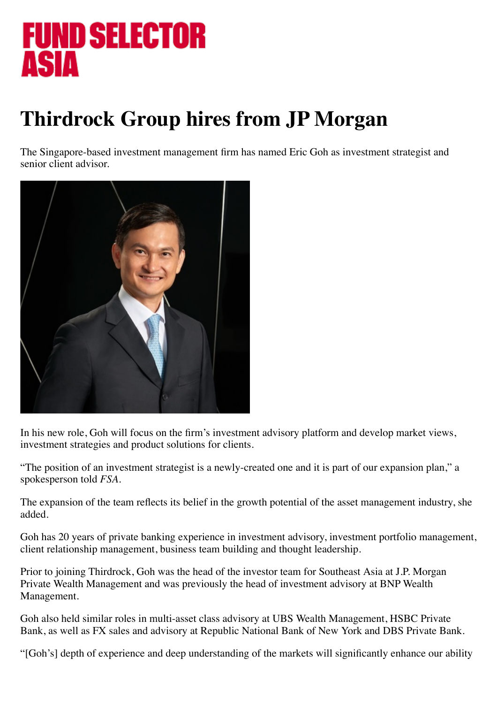## FUND SELECTOR **ASIA**

## **Thirdrock Group hires from JP Morgan**

The Singapore-based investment management firm has named Eric Goh as investment strategist and senior client advisor.



In his new role, Goh will focus on the firm's investment advisory platform and develop market views, investment strategies and product solutions for clients.

"The position of an investment strategist is a newly-created one and it is part of our expansion plan," a spokesperson told *FSA.*

The expansion of the team reflects its belief in the growth potential of the asset management industry, she added.

Goh has 20 years of private banking experience in investment advisory, investment portfolio management, client relationship management, business team building and thought leadership.

Prior to joining Thirdrock, Goh was the head of the investor team for Southeast Asia at J.P. Morgan Private Wealth Management and was previously the head of investment advisory at BNP Wealth Management.

Goh also held similar roles in multi-asset class advisory at UBS Wealth Management, HSBC Private Bank, as well as FX sales and advisory at Republic National Bank of New York and DBS Private Bank.

"[Goh's] depth of experience and deep understanding of the markets will significantly enhance our ability